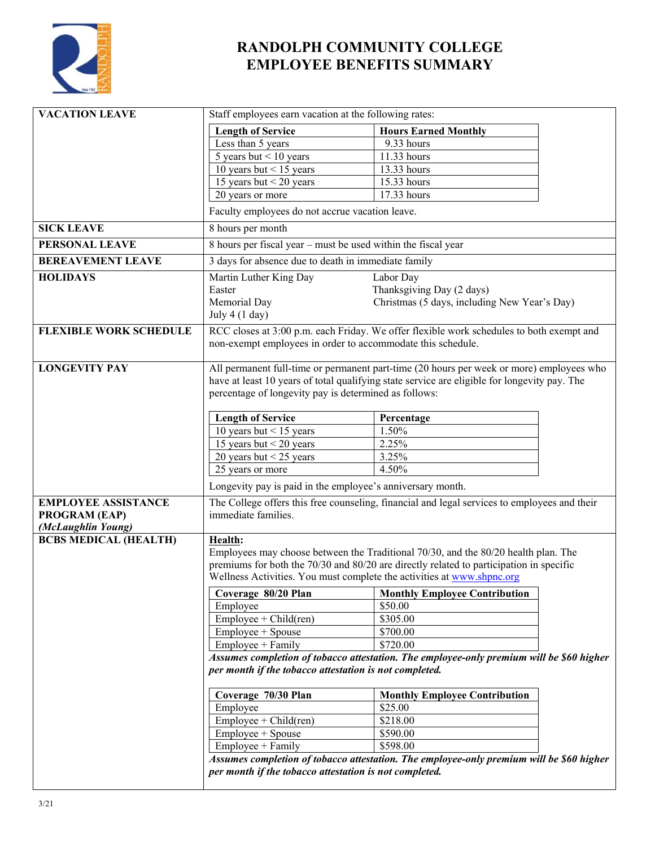

## **RANDOLPH COMMUNITY COLLEGE EMPLOYEE BENEFITS SUMMARY**

| <b>VACATION LEAVE</b>         | Staff employees earn vacation at the following rates:                                                                                              |                                                                                          |  |
|-------------------------------|----------------------------------------------------------------------------------------------------------------------------------------------------|------------------------------------------------------------------------------------------|--|
|                               | <b>Length of Service</b>                                                                                                                           | <b>Hours Earned Monthly</b>                                                              |  |
|                               | Less than 5 years                                                                                                                                  | 9.33 hours                                                                               |  |
|                               | 5 years but $<$ 10 years                                                                                                                           | 11.33 hours                                                                              |  |
|                               | 10 years but $<$ 15 years                                                                                                                          | 13.33 hours                                                                              |  |
|                               | 15 years but $\frac{15}{20}$ years                                                                                                                 | 15.33 hours                                                                              |  |
|                               | 20 years or more                                                                                                                                   | 17.33 hours                                                                              |  |
|                               | Faculty employees do not accrue vacation leave.                                                                                                    |                                                                                          |  |
| <b>SICK LEAVE</b>             | 8 hours per month                                                                                                                                  |                                                                                          |  |
| PERSONAL LEAVE                | 8 hours per fiscal year - must be used within the fiscal year                                                                                      |                                                                                          |  |
| <b>BEREAVEMENT LEAVE</b>      | 3 days for absence due to death in immediate family                                                                                                |                                                                                          |  |
| <b>HOLIDAYS</b>               | Martin Luther King Day                                                                                                                             | Labor Day                                                                                |  |
|                               | Easter                                                                                                                                             | Thanksgiving Day (2 days)                                                                |  |
|                               | Memorial Day                                                                                                                                       | Christmas (5 days, including New Year's Day)                                             |  |
|                               | July $4(1 \text{ day})$                                                                                                                            |                                                                                          |  |
| <b>FLEXIBLE WORK SCHEDULE</b> | RCC closes at 3:00 p.m. each Friday. We offer flexible work schedules to both exempt and                                                           |                                                                                          |  |
|                               | non-exempt employees in order to accommodate this schedule.                                                                                        |                                                                                          |  |
|                               |                                                                                                                                                    |                                                                                          |  |
| <b>LONGEVITY PAY</b>          | All permanent full-time or permanent part-time (20 hours per week or more) employees who                                                           |                                                                                          |  |
|                               | have at least 10 years of total qualifying state service are eligible for longevity pay. The                                                       |                                                                                          |  |
|                               | percentage of longevity pay is determined as follows:                                                                                              |                                                                                          |  |
|                               | <b>Length of Service</b>                                                                                                                           | Percentage                                                                               |  |
|                               | 10 years but $<$ 15 years                                                                                                                          | 1.50%                                                                                    |  |
|                               | 15 years but $<$ 20 years                                                                                                                          | 2.25%                                                                                    |  |
|                               | 20 years but $<$ 25 years                                                                                                                          | 3.25%                                                                                    |  |
|                               | 25 years or more                                                                                                                                   | 4.50%                                                                                    |  |
|                               | Longevity pay is paid in the employee's anniversary month.                                                                                         |                                                                                          |  |
| <b>EMPLOYEE ASSISTANCE</b>    | The College offers this free counseling, financial and legal services to employees and their                                                       |                                                                                          |  |
| PROGRAM (EAP)                 | immediate families.                                                                                                                                |                                                                                          |  |
| (McLaughlin Young)            |                                                                                                                                                    |                                                                                          |  |
| <b>BCBS MEDICAL (HEALTH)</b>  | Health:                                                                                                                                            |                                                                                          |  |
|                               | Employees may choose between the Traditional 70/30, and the 80/20 health plan. The                                                                 |                                                                                          |  |
|                               | premiums for both the 70/30 and 80/20 are directly related to participation in specific                                                            |                                                                                          |  |
|                               | Wellness Activities. You must complete the activities at www.shpnc.org                                                                             |                                                                                          |  |
|                               | Coverage 80/20 Plan                                                                                                                                | <b>Monthly Employee Contribution</b>                                                     |  |
|                               | Employee                                                                                                                                           | \$50.00                                                                                  |  |
|                               | $Employee + Child (ren)$                                                                                                                           | \$305.00                                                                                 |  |
|                               | Employee + Spouse                                                                                                                                  | \$700.00                                                                                 |  |
|                               | $Employee + Family$                                                                                                                                | \$720.00                                                                                 |  |
|                               | Assumes completion of tobacco attestation. The employee-only premium will be \$60 higher<br>per month if the tobacco attestation is not completed. |                                                                                          |  |
|                               | Coverage 70/30 Plan                                                                                                                                | <b>Monthly Employee Contribution</b>                                                     |  |
|                               | Employee                                                                                                                                           | \$25.00                                                                                  |  |
|                               | $Employee + Child (ren)$                                                                                                                           | \$218.00                                                                                 |  |
|                               | Employee + Spouse                                                                                                                                  | \$590.00                                                                                 |  |
|                               | Employee + Family                                                                                                                                  | \$598.00                                                                                 |  |
|                               |                                                                                                                                                    | Assumes completion of tobacco attestation. The employee-only premium will be \$60 higher |  |
|                               | per month if the tobacco attestation is not completed.                                                                                             |                                                                                          |  |